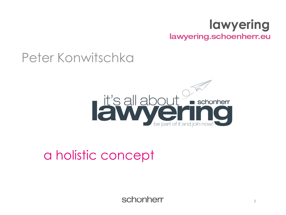#### **lawyering** lawyering.schoenherr.eu

#### Peter Konwitschka



#### a holistic concept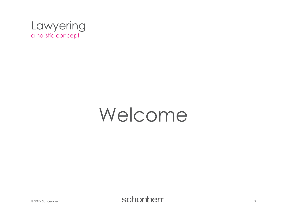

### Welcome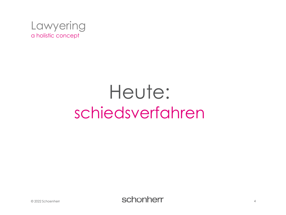

## Heute: schiedsverfahren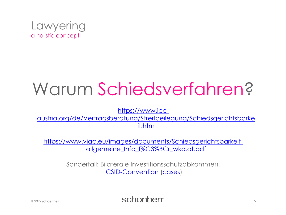

### Warum Schiedsverfahren?

https://www.icc-

[austria.org/de/Vertragsberatung/Streitbeilegung/Schiedsgerichtsbarke](https://www.icc-austria.org/de/Vertragsberatung/Streitbeilegung/Schiedsgerichtsbarkeit.htm) it.htm

[https://www.viac.eu/images/documents/Schiedsgerichtsbarkeit](https://www.viac.eu/images/documents/Schiedsgerichtsbarkeit-allgemeine_Info_f%C3%BCr_wko.at.pdf)allgemeine\_Info\_f%C3%BCr\_wko.at.pdf

> Sonderfall: Bilaterale Investitionsschutzabkommen, [ICSID-Convention](https://icsid.worldbank.org/resources/rules-and-regulations/convention/overview) [\(cases](https://icsid.worldbank.org/cases/case-database))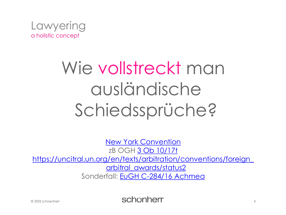

# Wie vollstreckt man ausländische Schiedssprüche?

[New York Convention](https://www.ris.bka.gv.at/GeltendeFassung.wxe?Abfrage=Bundesnormen&Gesetzesnummer=10002016) zB OGH [3 Ob 10/17t](https://ris.bka.gv.at/Dokumente/Justiz/JJT_20170607_OGH0002_0030OB00010_17T0000_000/JJT_20170607_OGH0002_0030OB00010_17T0000_000.html) [https://uncitral.un.org/en/texts/arbitration/conventions/foreign\\_](http://www.uncitral.org/uncitral/en/uncitral_texts/arbitration/NYConvention_status.html) arbitral\_awards/status2 Sonderfall: [EuGH C-284/16 Achmea](https://curia.europa.eu/juris/document/document.jsf;jsessionid=72BFDA3F22628221419ED8DD61151EA3?text=&docid=199968&pageIndex=0&doclang=DE&mode=lst&dir=&occ=first&part=1&cid=525667)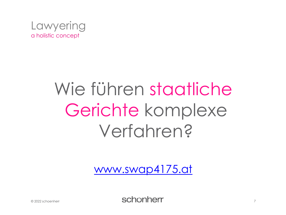

# Wie führen staatliche Gerichte komplexe Verfahren?

[www.swap4175.at](http://www.swap4175.at/)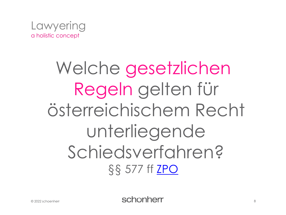

### Welche gesetzlichen Regeln gelten für österreichischem Recht unterliegende Schiedsverfahren? §§ 577 ff [ZPO](https://ris.bka.gv.at/GeltendeFassung.wxe?Abfrage=Bundesnormen&Gesetzesnummer=10001699)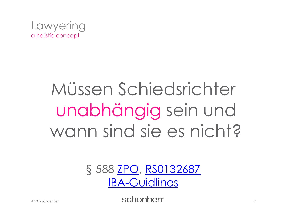

# Müssen Schiedsrichter unabhängig sein und wann sind sie es nicht?

#### § 588 ZPO, RS0132687 **IBA-Guidlines**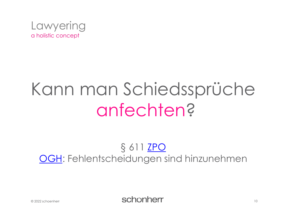

### Kann man Schiedssprüche anfechten?

#### § 611 <u>ZPO</u> **OGH: Fehlentscheidungen sind hinzunehmen**